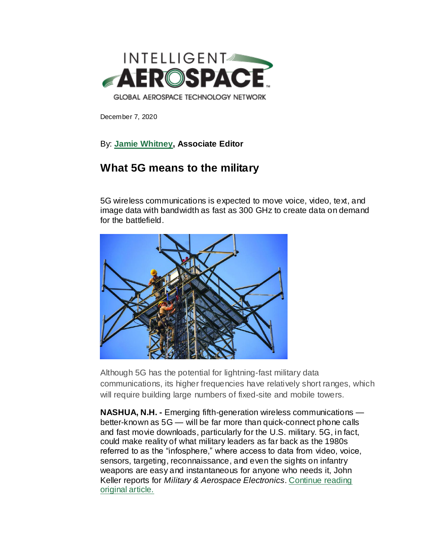

December 7, 2020

## By: **[Jamie Whitney,](mailto:jwhitney@endeavorb2b.com) Associate Editor**

## **What 5G means to the military**

5G wireless communications is expected to move voice, video, text, and image data with bandwidth as fast as 300 GHz to create data on demand for the battlefield.



Although 5G has the potential for lightning-fast military data communications, its higher frequencies have relatively short ranges, which will require building large numbers of fixed-site and mobile towers.

**NASHUA, N.H. -** Emerging fifth-generation wireless communications better-known as 5G — will be far more than quick-connect phone calls and fast movie downloads, particularly for the U.S. military. 5G, in fact, could make reality of what military leaders as far back as the 1980s referred to as the "infosphere," where access to data from video, voice, sensors, targeting, reconnaissance, and even the sights on infantry weapons are easy and instantaneous for anyone who needs it, John Keller reports for *Military & Aerospace Electronics*. [Continue reading](https://www.militaryaerospace.com/rf-analog/article/14188341/military-5g-communications)  [original article.](https://www.militaryaerospace.com/rf-analog/article/14188341/military-5g-communications)